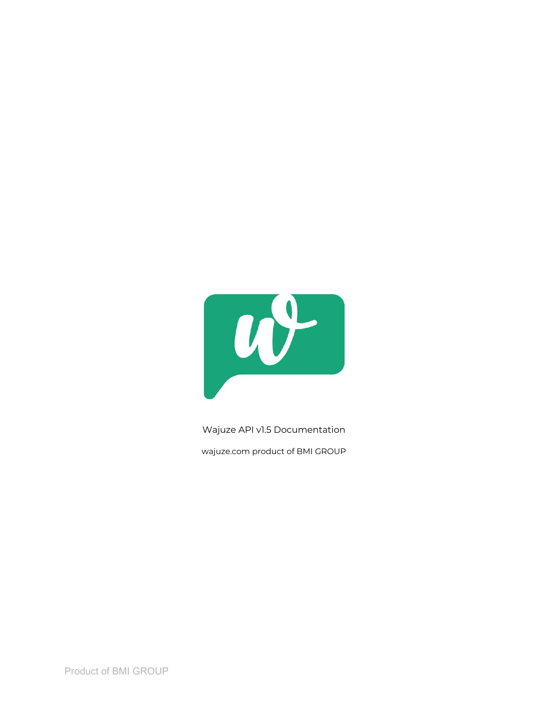

Wajuze API v1.5 Documentation

wajuze.com product of BMI GROUP

Product of BMI GROUP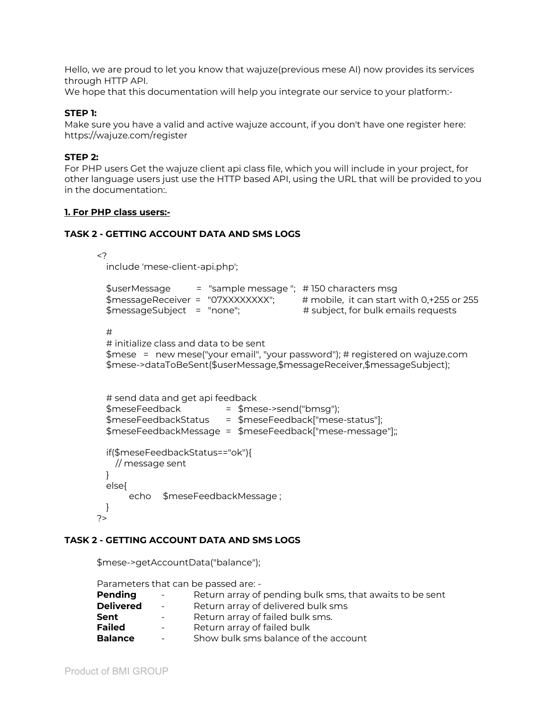Hello, we are proud to let you know that wajuze(previous mese AI) now provides its services through HTTP API.

We hope that this documentation will help you integrate our service to your platform:-

## **STEP 1:**

Make sure you have a valid and active wajuze account, if you don't have one register here: https://wajuze.com/register

## **STEP 2:**

For PHP users Get the wajuze client api class file, which you will include in your project, for other language users just use the HTTP based API, using the URL that will be provided to you in the documentation:.

### **1. For PHP class users:-**

#### **TASK 2 - GETTING ACCOUNT DATA AND SMS LOGS**

<? include 'mese-client-api.php';

```
$userMessage = "sample message "; # 150 characters msg
$messageReceiver = "07XXXXXXXX"; # mobile, it can start with 0,+255 or 255
$messageSubject = "none"; # subject, for bulk emails requests
```
#

```
# initialize class and data to be sent
$mese = new mese("your email", "your password"); # registered on wajuze.com
$mese->dataToBeSent($userMessage,$messageReceiver,$messageSubject);
```

```
# send data and get api feedback
 $meseFeedback = $mese->send("bmsg");
 $meseFeedbackStatus = $meseFeedback["mese-status"];
 $meseFeedbackMessage = $meseFeedback["mese-message"];;
 if($meseFeedbackStatus=="ok"){
   // message sent
 }
 else{
     echo $meseFeedbackMessage ;
 }
?>
```
### **TASK 2 - GETTING ACCOUNT DATA AND SMS LOGS**

|                  | \$mese->getAccountData("balance");                       |
|------------------|----------------------------------------------------------|
|                  | Parameters that can be passed are: -                     |
| Pending          | Return array of pending bulk sms, that awaits to be sent |
| <b>Delivered</b> | Return array of delivered bulk sms                       |
| Sent             | Return array of failed bulk sms.                         |
| <b>Failed</b>    | Return array of failed bulk                              |
| <b>Balance</b>   | Show bulk sms balance of the account                     |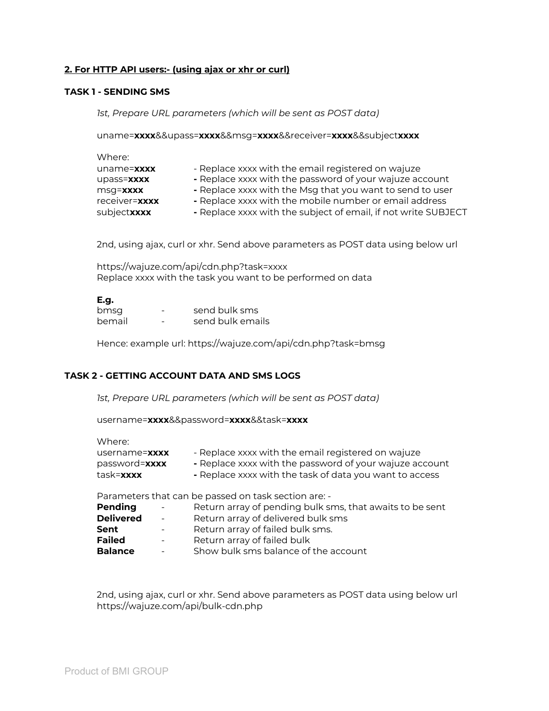# **2. For HTTP API users:- (using ajax or xhr or curl)**

### **TASK 1 - SENDING SMS**

*1st, Prepare URL parameters (which will be sent as POST data)*

uname=**xxxx**&&upass=**xxxx**&&msg=**xxxx**&&receiver=**xxxx**&&subject**xxxx**

| - Replace xxxx with the email registered on wajuze             |
|----------------------------------------------------------------|
| - Replace xxxx with the password of your wajuze account        |
| - Replace xxxx with the Msg that you want to send to user      |
| - Replace xxxx with the mobile number or email address         |
| - Replace xxxx with the subject of email, if not write SUBJECT |
|                                                                |

2nd, using ajax, curl or xhr. Send above parameters as POST data using below url

https://wajuze.com/api/cdn.php?task=xxxx Replace xxxx with the task you want to be performed on data

#### **E.g.**

| bmsg   | - | send bulk sms    |
|--------|---|------------------|
| bemail | - | send bulk emails |

Hence: example url: https://wajuze.com/api/cdn.php?task=bmsg

# **TASK 2 - GETTING ACCOUNT DATA AND SMS LOGS**

*1st, Prepare URL parameters (which will be sent as POST data)*

username=**xxxx**&&password=**xxxx**&&task=**xxxx**

| Where:                                      |                                                                                                                                                                          |
|---------------------------------------------|--------------------------------------------------------------------------------------------------------------------------------------------------------------------------|
| username=xxxx<br>password=xxxx<br>task=xxxx | - Replace xxxx with the email registered on wajuze<br>- Replace xxxx with the password of your wajuze account<br>- Replace xxxx with the task of data you want to access |
| Pending                                     | Parameters that can be passed on task section are: -<br>Return array of pending bulk sms, that awaits to be sent                                                         |

| Delivered      | <b>Contract Contract</b> | Return array of delivered bulk sms   |
|----------------|--------------------------|--------------------------------------|
| Sent           | $\sim$ .                 | Return array of failed bulk sms.     |
| <b>Failed</b>  | <b>Service</b>           | Return array of failed bulk          |
| <b>Balance</b> | $\sim$ .                 | Show bulk sms balance of the account |

2nd, using ajax, curl or xhr. Send above parameters as POST data using below url https://wajuze.com/api/bulk-cdn.php